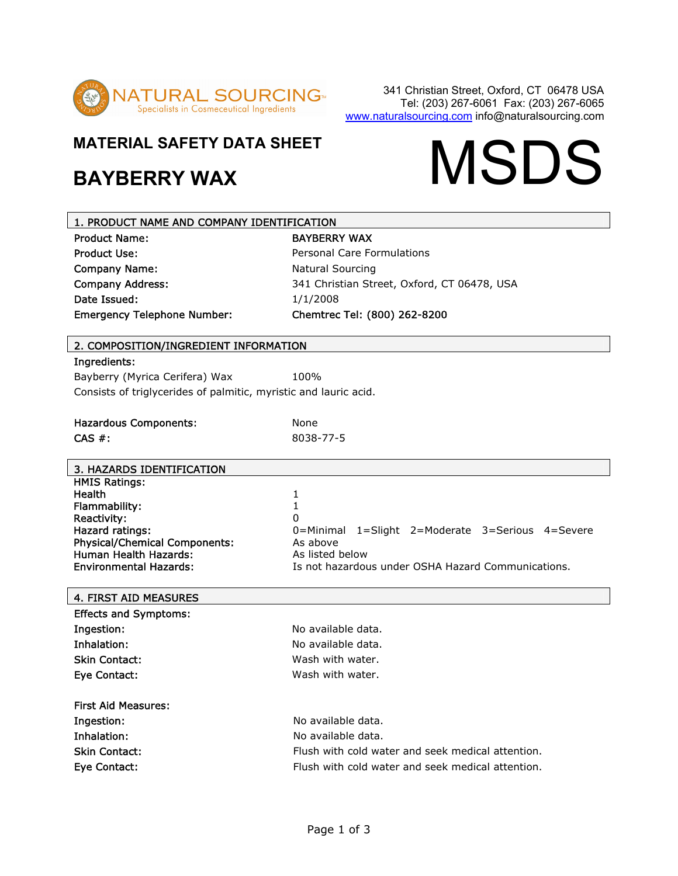

## **MATERIAL SAFETY DATA SHEET**

# MATERIAL SAFETY DATA SHEET **MATERIAL SAFETY DATA SHEET**

| 1. PRODUCT NAME AND COMPANY IDENTIFICATION                       |                                                    |  |
|------------------------------------------------------------------|----------------------------------------------------|--|
| <b>Product Name:</b>                                             | <b>BAYBERRY WAX</b>                                |  |
| <b>Product Use:</b>                                              | <b>Personal Care Formulations</b>                  |  |
| <b>Company Name:</b>                                             | <b>Natural Sourcing</b>                            |  |
| <b>Company Address:</b>                                          | 341 Christian Street, Oxford, CT 06478, USA        |  |
| Date Issued:                                                     | 1/1/2008                                           |  |
| <b>Emergency Telephone Number:</b>                               | Chemtrec Tel: (800) 262-8200                       |  |
| 2. COMPOSITION/INGREDIENT INFORMATION                            |                                                    |  |
| Ingredients:                                                     |                                                    |  |
| Bayberry (Myrica Cerifera) Wax                                   | 100%                                               |  |
| Consists of triglycerides of palmitic, myristic and lauric acid. |                                                    |  |
|                                                                  |                                                    |  |
| <b>Hazardous Components:</b>                                     | None                                               |  |
| $CAS$ #:                                                         | 8038-77-5                                          |  |
|                                                                  |                                                    |  |
| 3. HAZARDS IDENTIFICATION                                        |                                                    |  |
| <b>HMIS Ratings:</b>                                             |                                                    |  |
| <b>Health</b><br>Flammability:                                   | 1<br>1                                             |  |
| Reactivity:                                                      | $\Omega$                                           |  |
| Hazard ratings:                                                  | 0=Minimal 1=Slight 2=Moderate 3=Serious 4=Severe   |  |
| <b>Physical/Chemical Components:</b>                             | As above                                           |  |
| Human Health Hazards:                                            | As listed below                                    |  |
| <b>Environmental Hazards:</b>                                    | Is not hazardous under OSHA Hazard Communications. |  |
| 4. FIRST AID MEASURES                                            |                                                    |  |
| <b>Effects and Symptoms:</b>                                     |                                                    |  |
| Ingestion:                                                       | No available data.                                 |  |
| Inhalation:                                                      | No available data.                                 |  |
| <b>Skin Contact:</b>                                             | Wash with water.                                   |  |
| <b>Eye Contact:</b>                                              | Wash with water.                                   |  |
| <b>First Aid Measures:</b>                                       |                                                    |  |
| Ingestion:                                                       | No available data.                                 |  |
| Inhalation:                                                      | No available data.                                 |  |
| <b>Skin Contact:</b>                                             | Flush with cold water and seek medical attention.  |  |
| Eve Contact:                                                     | Flush with cold water and seek medical attention.  |  |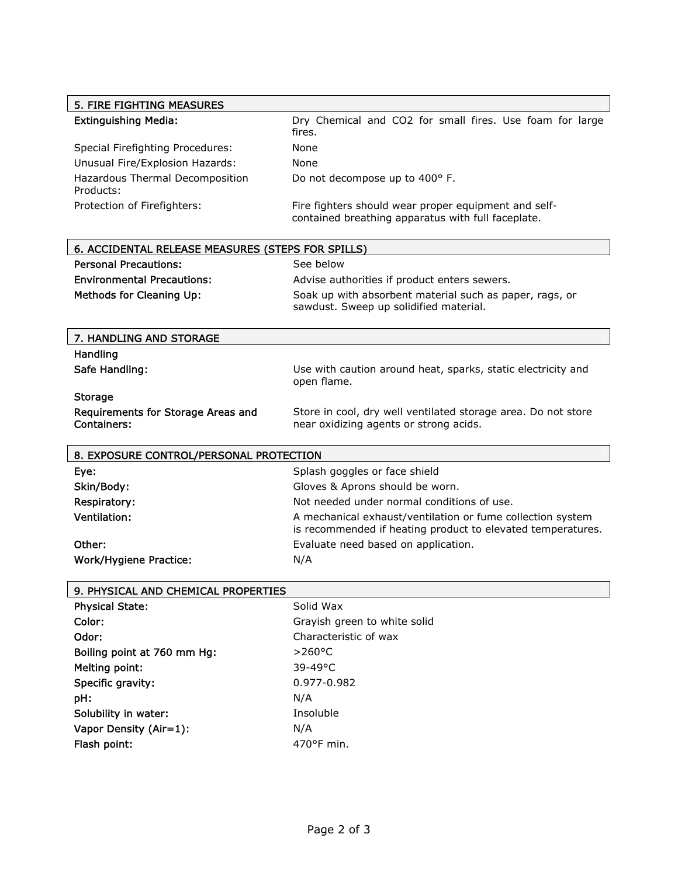| <b>5. FIRE FIGHTING MEASURES</b>                         |                                                                                                                           |
|----------------------------------------------------------|---------------------------------------------------------------------------------------------------------------------------|
| <b>Extinguishing Media:</b>                              | Dry Chemical and CO2 for small fires. Use foam for large<br>fires.                                                        |
| Special Firefighting Procedures:                         | None                                                                                                                      |
| Unusual Fire/Explosion Hazards:                          | None                                                                                                                      |
| Hazardous Thermal Decomposition<br>Products:             | Do not decompose up to 400° F.                                                                                            |
| Protection of Firefighters:                              | Fire fighters should wear proper equipment and self-<br>contained breathing apparatus with full faceplate.                |
| 6. ACCIDENTAL RELEASE MEASURES (STEPS FOR SPILLS)        |                                                                                                                           |
| <b>Personal Precautions:</b>                             | See below                                                                                                                 |
| <b>Environmental Precautions:</b>                        | Advise authorities if product enters sewers.                                                                              |
| Methods for Cleaning Up:                                 | Soak up with absorbent material such as paper, rags, or<br>sawdust. Sweep up solidified material.                         |
| 7. HANDLING AND STORAGE                                  |                                                                                                                           |
| Handling                                                 |                                                                                                                           |
| Safe Handling:                                           | Use with caution around heat, sparks, static electricity and<br>open flame.                                               |
| <b>Storage</b>                                           |                                                                                                                           |
| Requirements for Storage Areas and<br><b>Containers:</b> | Store in cool, dry well ventilated storage area. Do not store<br>near oxidizing agents or strong acids.                   |
|                                                          |                                                                                                                           |
| 8. EXPOSURE CONTROL/PERSONAL PROTECTION                  |                                                                                                                           |
| Eye:                                                     | Splash goggles or face shield                                                                                             |
| Skin/Body:                                               | Gloves & Aprons should be worn.                                                                                           |
| Respiratory:                                             | Not needed under normal conditions of use.                                                                                |
| <b>Ventilation:</b>                                      | A mechanical exhaust/ventilation or fume collection system<br>is recommended if heating product to elevated temperatures. |
| Other:                                                   | Evaluate need based on application.                                                                                       |
| Work/Hygiene Practice:                                   | N/A                                                                                                                       |
|                                                          |                                                                                                                           |
| 9. PHYSICAL AND CHEMICAL PROPERTIES                      |                                                                                                                           |
| <b>Physical State:</b>                                   | Solid Wax                                                                                                                 |
| Color:                                                   | Grayish green to white solid                                                                                              |
| Odor:                                                    | Characteristic of wax                                                                                                     |
| Boiling point at 760 mm Hg:                              | $>260^{\circ}$ C                                                                                                          |
| Melting point:                                           | 39-49°C                                                                                                                   |
| Specific gravity:                                        | 0.977-0.982                                                                                                               |
| pH:                                                      | N/A                                                                                                                       |
| Solubility in water:<br>Vapor Density (Air=1):           | Insoluble<br>N/A                                                                                                          |